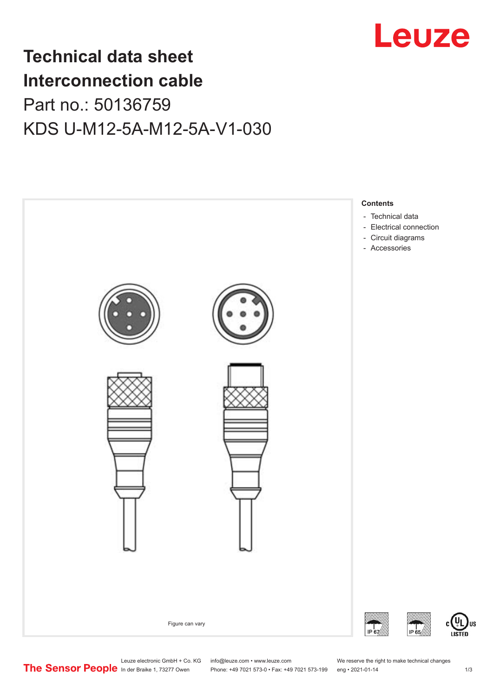

## **Technical data sheet Interconnection cable** Part no.: 50136759 KDS U-M12-5A-M12-5A-V1-030



Leuze electronic GmbH + Co. KG info@leuze.com • www.leuze.com We reserve the right to make technical changes<br>
The Sensor People in der Braike 1, 73277 Owen Phone: +49 7021 573-0 • Fax: +49 7021 573-199 eng • 2021-01-14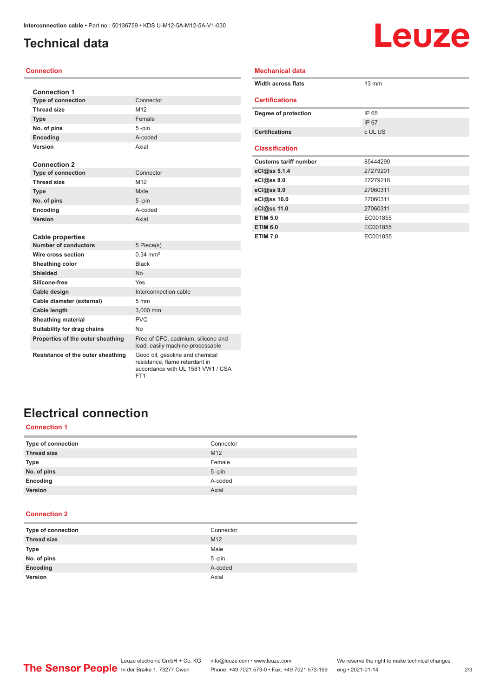## <span id="page-1-0"></span>**Technical data**

# **Leuze**

#### **Connection**

| <b>Connection 1</b>         |                       |  |  |
|-----------------------------|-----------------------|--|--|
| <b>Type of connection</b>   | Connector             |  |  |
| <b>Thread size</b>          | M <sub>12</sub>       |  |  |
| <b>Type</b>                 | Female                |  |  |
| No. of pins                 | 5-pin                 |  |  |
| Encoding                    | A-coded               |  |  |
| Version                     | Axial                 |  |  |
| <b>Connection 2</b>         |                       |  |  |
| <b>Type of connection</b>   | Connector             |  |  |
| <b>Thread size</b>          | M <sub>12</sub>       |  |  |
| <b>Type</b>                 | Male                  |  |  |
| No. of pins                 | 5-pin                 |  |  |
| Encoding                    | A-coded               |  |  |
| Version                     | Axial                 |  |  |
|                             |                       |  |  |
| <b>Cable properties</b>     |                       |  |  |
| <b>Number of conductors</b> | 5 Piece(s)            |  |  |
| Wire cross section          | $0.34 \, \text{mm}^2$ |  |  |
| <b>Sheathing color</b>      | <b>Black</b>          |  |  |
| <b>Shielded</b>             | <b>No</b>             |  |  |
| Silicone-free               | Yes                   |  |  |
| Cable design                | Interconnection cable |  |  |
| Cable diameter (external)   | $5 \text{ mm}$        |  |  |
| <b>Cable length</b>         | 3.000 mm              |  |  |

**Properties of the outer sheathing** Free of CFC, cadmium, silicone and

FT1

**Resistance of the outer sheathing** Good oil, gasoline and chemical

| Mechanical data              |                 |  |  |  |  |
|------------------------------|-----------------|--|--|--|--|
| <b>Width across flats</b>    | $13 \text{ mm}$ |  |  |  |  |
| <b>Certifications</b>        |                 |  |  |  |  |
| Degree of protection         | IP 65           |  |  |  |  |
|                              | IP 67           |  |  |  |  |
| <b>Certifications</b>        | c UL US         |  |  |  |  |
| <b>Classification</b>        |                 |  |  |  |  |
| <b>Customs tariff number</b> | 85444290        |  |  |  |  |
| eCl@ss 5.1.4                 | 27279201        |  |  |  |  |
| eCl@ss 8.0                   | 27279218        |  |  |  |  |
| eCl@ss 9.0                   | 27060311        |  |  |  |  |
| eCl@ss 10.0                  | 27060311        |  |  |  |  |
| eCl@ss 11.0                  | 27060311        |  |  |  |  |
| <b>ETIM 5.0</b>              | EC001855        |  |  |  |  |
| <b>ETIM 6.0</b>              | EC001855        |  |  |  |  |
|                              |                 |  |  |  |  |

## **Electrical connection**

**Sheathing material FIVC Suitability for drag chains** No

#### **Connection 1**

| Type of connection | Connector       |
|--------------------|-----------------|
| <b>Thread size</b> | M <sub>12</sub> |
| Type               | Female          |
| No. of pins        | $5 - pin$       |
| Encoding           | A-coded         |
| Version            | Axial           |

lead, easily machine-processable

resistance, flame retardant in accordance with UL 1581 VW1 / CSA

#### **Connection 2**

| Type of connection | Connector |
|--------------------|-----------|
| <b>Thread size</b> | M12       |
| <b>Type</b>        | Male      |
| No. of pins        | 5-pin     |
| Encoding           | A-coded   |
| Version            | Axial     |